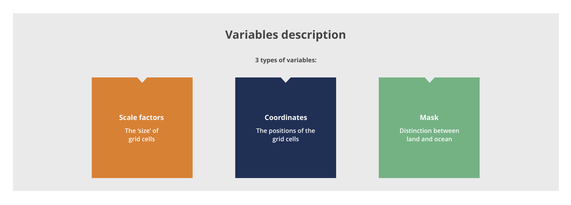# **Variables description**



**Coordinates The positions of the grid cells**

## **Mask**

**Distinction between land and ocean**

**3 types of variables:**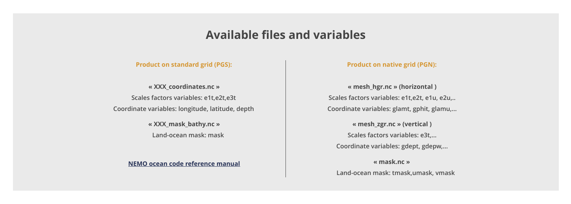# **Available files and variables**

**Product on native grid (PGN):**

**Scales factors variables: e1t,e2t, e1u, e2u,.. Coordinate variables: glamt, gphit, glamu,… « mesh\_hgr.nc » (horizontal )**

**« mesh\_zgr.nc » (vertical )**

**« mask.nc »** 

 **Land-ocean mask: tmask,umask, vmask**

- 
- 
- 
- 
- 
- 
- 
- 

**Scales factors variables: e3t,…** 

**Coordinate variables: gdept, gdepw,…**

**Product on standard grid (PGS):**

**Scales factors variables: e1t,e2t,e3t Coordinate variables: longitude, latitude, depth « XXX\_coordinates.nc »**

> **« XXX\_mask\_bathy.nc » Land-ocean mask: mask**

**NEMO ocean code reference manual**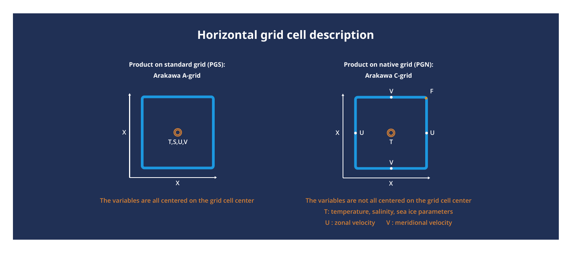# **Horizontal grid cell description**

**The variables are all centered on the grid cell center**

**X**



**The variables are not all centered on the grid cell center T: temperature, salinity, sea ice parameters U : zonal velocity V : meridional velocity**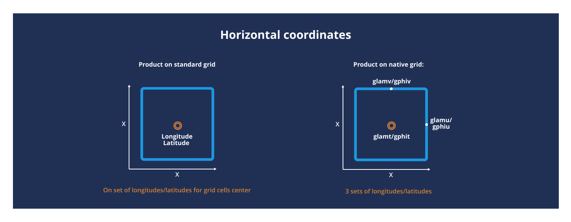## **Horizontal coordinates**

**On set of longitudes/latitudes for grid cells center**

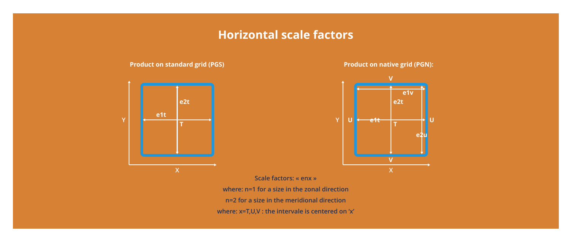## **Horizontal scale factors**

## **Product on standard grid (PGS)**



## **Product on native grid (PGN):**



**Scale factors: « enx » where: n=1 for a size in the zonal direction n=2 for a size in the meridional direction where: x=T,U,V : the intervale is centered on 'x'**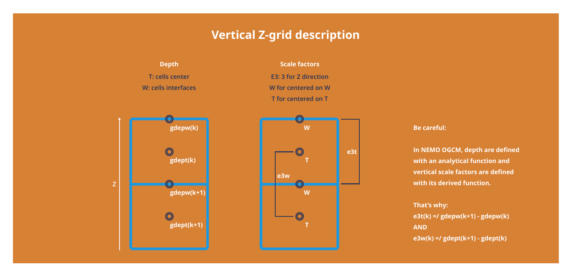# **Vertical Z-grid description**

**Be careful:** 

**In NEMO OGCM, depth are defined with an analytical function and vertical scale factors are defined with its derived function.** 



**That's why: e3t(k) =/ gdepw(k+1) - gdepw(k) AND e3w(k) =/ gdept(k+1) - gdept(k)**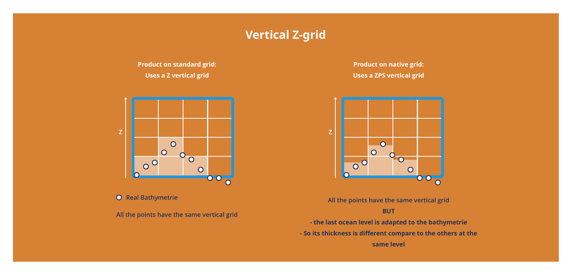# **Vertical Z-grid**

**Product on standard grid: Uses a Z vertical grid**

**All the points have the same vertical grid**



**O** Real Bathymetrie

**Product on native grid: Uses a ZPS vertical grid**

**All the points have the same vertical grid** 

**BUT** 

- **the last ocean level is adapted to the bathymetrie**
- **So its thickness is different compare to the others at the** 
	- **same level**

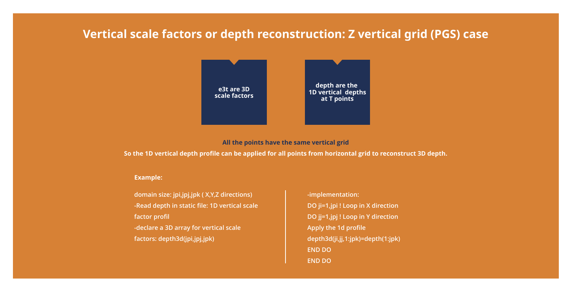# **Vertical scale factors or depth reconstruction: Z vertical grid (PGS) case**

**domain size: jpi,jpj,jpk ( X,Y,Z directions) -Read depth in static file: 1D vertical scale factor profil -declare a 3D array for vertical scale factors: depth3d(jpi,jpj,jpk)**

**-implementation: DO ji=1,jpi ! Loop in X direction DO jj=1,jpj ! Loop in Y direction Apply the 1d profile depth3d(ji,jj,1:jpk)=depth(1:jpk) END DO END DO**

### **Example:**

**All the points have the same vertical grid So the 1D vertical depth profile can be applied for all points from horizontal grid to reconstruct 3D depth.**

**depth are the 1D vertical depths at T points**

**e3t are 3D scale factors**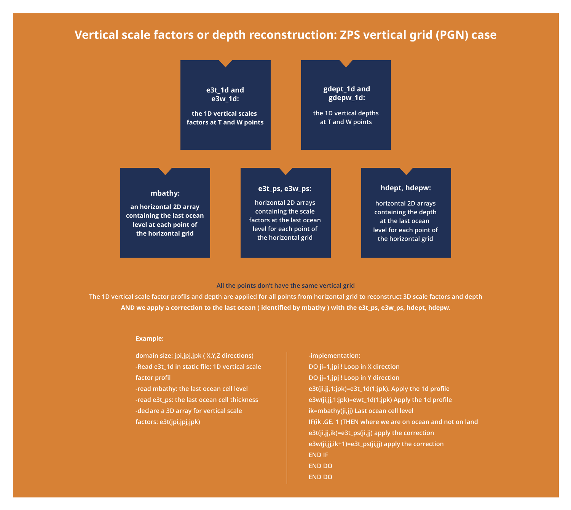# **Vertical scale factors or depth reconstruction: ZPS vertical grid (PGN) case**

**All the points don't have the same vertical grid** 

**The 1D vertical scale factor profils and depth are applied for all points from horizontal grid to reconstruct 3D scale factors and depth AND we apply a correction to the last ocean ( identified by mbathy ) with the e3t\_ps, e3w\_ps, hdept, hdepw.**

> **domain size: jpi,jpj,jpk ( X,Y,Z directions) -Read e3t\_1d in static file: 1D vertical scale factor profil**

**-read mbathy: the last ocean cell level -read e3t\_ps: the last ocean cell thickness -declare a 3D array for vertical scale factors: e3t(jpi,jpj,jpk)**

**-implementation:** 

**DO ji=1,jpi ! Loop in X direction DO jj=1,jpj ! Loop in Y direction e3t(ji,jj,1:jpk)=e3t\_1d(1:jpk). Apply the 1d profile e3w(ji,jj,1:jpk)=ewt\_1d(1:jpk) Apply the 1d profile ik=mbathy(ji,jj) Last ocean cell level IF(ik .GE. 1 )THEN where we are on ocean and not on land e3t(ji,jj,ik)=e3t\_ps(ji,jj) apply the correction e3w(ji,jj,ik+1)=e3t\_ps(ji,jj) apply the correction END IF END DO END DO**

### **Example:**

**horizontal 2D arrays containing the scale factors at the last ocean level for each point of the horizontal grid**

### **e3t\_ps, e3w\_ps:**

**horizontal 2D arrays containing the depth at the last ocean level for each point of the horizontal grid**

- 
- 
- 
- 
- 
- 
- 

## **hdept, hdepw:**

**the 1D vertical scales factors at T and W points**

**e3t\_1d and e3w\_1d:**

**an horizontal 2D array containing the last ocean level at each point of the horizontal grid**

### **mbathy:**

**the 1D vertical depths at T and W points**

**gdept\_1d and gdepw\_1d:**